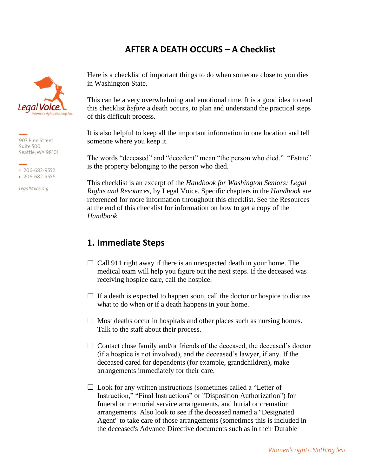# **AFTER A DEATH OCCURS – A Checklist**



907 Pine Street Suite 500 Seattle, WA 98101

т 206-682-9552 F 206-682-9556

LegalVoice.org

Here is a checklist of important things to do when someone close to you dies in Washington State.

This can be a very overwhelming and emotional time. It is a good idea to read this checklist *before* a death occurs, to plan and understand the practical steps of this difficult process.

It is also helpful to keep all the important information in one location and tell someone where you keep it.

The words "deceased" and "decedent" mean "the person who died." "Estate" is the property belonging to the person who died.

This checklist is an excerpt of the *Handbook for Washington Seniors: Legal Rights and Resources*, by Legal Voice. Specific chapters in the *Handbook* are referenced for more information throughout this checklist. See the Resources at the end of this checklist for information on how to get a copy of the *Handbook*.

# **1. Immediate Steps**

- $\Box$  Call 911 right away if there is an unexpected death in your home. The medical team will help you figure out the next steps. If the deceased was receiving hospice care, call the hospice.
- $\Box$  If a death is expected to happen soon, call the doctor or hospice to discuss what to do when or if a death happens in your home.
- $\Box$  Most deaths occur in hospitals and other places such as nursing homes. Talk to the staff about their process.
- $\Box$  Contact close family and/or friends of the deceased, the deceased's doctor (if a hospice is not involved), and the deceased's lawyer, if any. If the deceased cared for dependents (for example, grandchildren), make arrangements immediately for their care.
- $\Box$  Look for any written instructions (sometimes called a "Letter of Instruction," "Final Instructions" or "Disposition Authorization") for funeral or memorial service arrangements, and burial or cremation arrangements. Also look to see if the deceased named a "Designated Agent" to take care of those arrangements (sometimes this is included in the deceased's Advance Directive documents such as in their Durable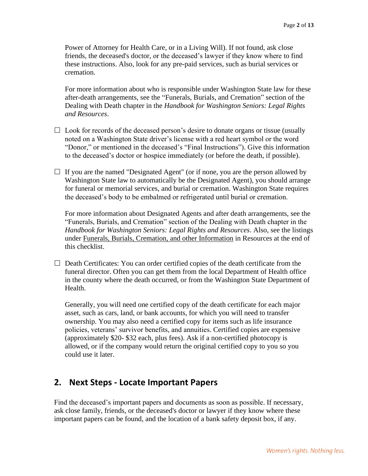Power of Attorney for Health Care, or in a Living Will). If not found, ask close friends, the deceased's doctor, or the deceased's lawyer if they know where to find these instructions. Also, look for any pre-paid services, such as burial services or cremation.

For more information about who is responsible under Washington State law for these after-death arrangements, see the "Funerals, Burials, and Cremation" section of the Dealing with Death chapter in the *Handbook for Washington Seniors: Legal Rights and Resources*.

- $\Box$  Look for records of the deceased person's desire to donate organs or tissue (usually noted on a Washington State driver's license with a red heart symbol or the word "Donor," or mentioned in the deceased's "Final Instructions"). Give this information to the deceased's doctor or hospice immediately (or before the death, if possible).
- $\Box$  If you are the named "Designated Agent" (or if none, you are the person allowed by Washington State law to automatically be the Designated Agent), you should arrange for funeral or memorial services, and burial or cremation. Washington State requires the deceased's body to be embalmed or refrigerated until burial or cremation.

For more information about Designated Agents and after death arrangements, see the "Funerals, Burials, and Cremation" section of the Dealing with Death chapter in the *Handbook for Washington Seniors: Legal Rights and Resources*. Also, see the listings under Funerals, Burials, Cremation, and other Information in Resources at the end of this checklist.

 $\Box$  Death Certificates: You can order certified copies of the death certificate from the funeral director. Often you can get them from the local Department of Health office in the county where the death occurred, or from the Washington State Department of Health.

Generally, you will need one certified copy of the death certificate for each major asset, such as cars, land, or bank accounts, for which you will need to transfer ownership. You may also need a certified copy for items such as life insurance policies, veterans' survivor benefits, and annuities. Certified copies are expensive (approximately \$20- \$32 each, plus fees). Ask if a non-certified photocopy is allowed, or if the company would return the original certified copy to you so you could use it later.

# **2. Next Steps - Locate Important Papers**

Find the deceased's important papers and documents as soon as possible. If necessary, ask close family, friends, or the deceased's doctor or lawyer if they know where these important papers can be found, and the location of a bank safety deposit box, if any.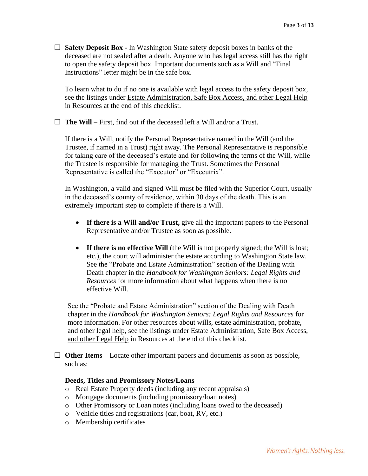**Safety Deposit Box -** In Washington State safety deposit boxes in banks of the deceased are not sealed after a death. Anyone who has legal access still has the right to open the safety deposit box. Important documents such as a Will and "Final Instructions" letter might be in the safe box.

To learn what to do if no one is available with legal access to the safety deposit box, see the listings under Estate Administration, Safe Box Access, and other Legal Help in Resources at the end of this checklist.

 $\Box$  **The Will** – First, find out if the deceased left a Will and/or a Trust.

If there is a Will, notify the Personal Representative named in the Will (and the Trustee, if named in a Trust) right away. The Personal Representative is responsible for taking care of the deceased's estate and for following the terms of the Will, while the Trustee is responsible for managing the Trust. Sometimes the Personal Representative is called the "Executor" or "Executrix".

In Washington, a valid and signed Will must be filed with the Superior Court, usually in the deceased's county of residence, within 30 days of the death. This is an extremely important step to complete if there is a Will.

- **If there is a Will and/or Trust,** give all the important papers to the Personal Representative and/or Trustee as soon as possible.
- **If there is no effective Will** (the Will is not properly signed; the Will is lost; etc.), the court will administer the estate according to Washington State law. See the "Probate and Estate Administration" section of the Dealing with Death chapter in the *Handbook for Washington Seniors: Legal Rights and Resources* for more information about what happens when there is no effective Will.

See the "Probate and Estate Administration" section of the Dealing with Death chapter in the *Handbook for Washington Seniors: Legal Rights and Resources* for more information. For other resources about wills, estate administration, probate, and other legal help, see the listings under Estate Administration, Safe Box Access, and other Legal Help in Resources at the end of this checklist.

 $\Box$  **Other Items** – Locate other important papers and documents as soon as possible, such as:

#### **Deeds, Titles and Promissory Notes/Loans**

- o Real Estate Property deeds (including any recent appraisals)
- o Mortgage documents (including promissory/loan notes)
- o Other Promissory or Loan notes (including loans owed to the deceased)
- o Vehicle titles and registrations (car, boat, RV, etc.)
- o Membership certificates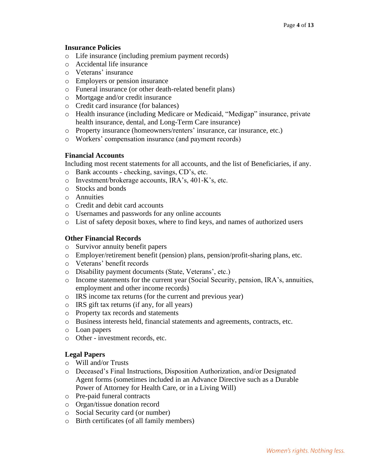#### **Insurance Policies**

- o Life insurance (including premium payment records)
- o Accidental life insurance
- o Veterans' insurance
- o Employers or pension insurance
- o Funeral insurance (or other death-related benefit plans)
- o Mortgage and/or credit insurance
- o Credit card insurance (for balances)
- o Health insurance (including Medicare or Medicaid, "Medigap" insurance, private health insurance, dental, and Long-Term Care insurance)
- o Property insurance (homeowners/renters' insurance, car insurance, etc.)
- o Workers' compensation insurance (and payment records)

#### **Financial Accounts**

Including most recent statements for all accounts, and the list of Beneficiaries, if any.

- o Bank accounts checking, savings, CD's, etc.
- o Investment/brokerage accounts, IRA's, 401-K's, etc.
- o Stocks and bonds
- o Annuities
- o Credit and debit card accounts
- o Usernames and passwords for any online accounts
- o List of safety deposit boxes, where to find keys, and names of authorized users

#### **Other Financial Records**

- o Survivor annuity benefit papers
- o Employer/retirement benefit (pension) plans, pension/profit-sharing plans, etc.
- o Veterans' benefit records
- o Disability payment documents (State, Veterans', etc.)
- o Income statements for the current year (Social Security, pension, IRA's, annuities, employment and other income records)
- o IRS income tax returns (for the current and previous year)
- o IRS gift tax returns (if any, for all years)
- o Property tax records and statements
- o Business interests held, financial statements and agreements, contracts, etc.
- o Loan papers
- o Other investment records, etc.

### **Legal Papers**

- o Will and/or Trusts
- o Deceased's Final Instructions, Disposition Authorization, and/or Designated Agent forms (sometimes included in an Advance Directive such as a Durable Power of Attorney for Health Care, or in a Living Will)
- o Pre-paid funeral contracts
- o Organ/tissue donation record
- o Social Security card (or number)
- o Birth certificates (of all family members)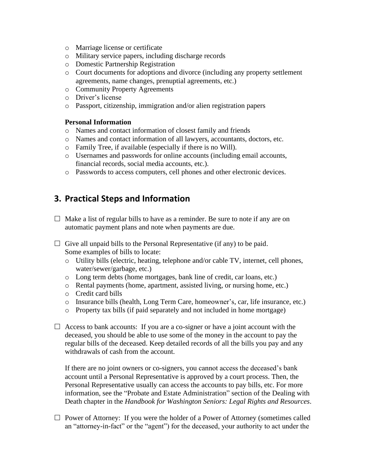- o Marriage license or certificate
- o Military service papers, including discharge records
- o Domestic Partnership Registration
- o Court documents for adoptions and divorce (including any property settlement agreements, name changes, prenuptial agreements, etc.)
- o Community Property Agreements
- o Driver's license
- o Passport, citizenship, immigration and/or alien registration papers

### **Personal Information**

- o Names and contact information of closest family and friends
- o Names and contact information of all lawyers, accountants, doctors, etc.
- o Family Tree, if available (especially if there is no Will).
- o Usernames and passwords for online accounts (including email accounts, financial records, social media accounts, etc.).
- o Passwords to access computers, cell phones and other electronic devices.

# **3. Practical Steps and Information**

- $\Box$  Make a list of regular bills to have as a reminder. Be sure to note if any are on automatic payment plans and note when payments are due.
- $\Box$  Give all unpaid bills to the Personal Representative (if any) to be paid. Some examples of bills to locate:
	- o Utility bills (electric, heating, telephone and/or cable TV, internet, cell phones, water/sewer/garbage, etc.)
	- o Long term debts (home mortgages, bank line of credit, car loans, etc.)
	- o Rental payments (home, apartment, assisted living, or nursing home, etc.)
	- o Credit card bills
	- o Insurance bills (health, Long Term Care, homeowner's, car, life insurance, etc.)
	- o Property tax bills (if paid separately and not included in home mortgage)
- $\Box$  Access to bank accounts: If you are a co-signer or have a joint account with the deceased, you should be able to use some of the money in the account to pay the regular bills of the deceased. Keep detailed records of all the bills you pay and any withdrawals of cash from the account.

If there are no joint owners or co-signers, you cannot access the deceased's bank account until a Personal Representative is approved by a court process. Then, the Personal Representative usually can access the accounts to pay bills, etc. For more information, see the "Probate and Estate Administration" section of the Dealing with Death chapter in the *Handbook for Washington Seniors: Legal Rights and Resources*.

 $\Box$  Power of Attorney: If you were the holder of a Power of Attorney (sometimes called an "attorney-in-fact" or the "agent") for the deceased, your authority to act under the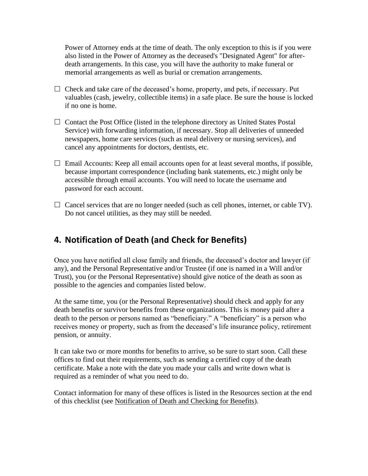Power of Attorney ends at the time of death. The only exception to this is if you were also listed in the Power of Attorney as the deceased's "Designated Agent" for afterdeath arrangements. In this case, you will have the authority to make funeral or memorial arrangements as well as burial or cremation arrangements.

- $\Box$  Check and take care of the deceased's home, property, and pets, if necessary. Put valuables (cash, jewelry, collectible items) in a safe place. Be sure the house is locked if no one is home.
- $\Box$  Contact the Post Office (listed in the telephone directory as United States Postal Service) with forwarding information, if necessary. Stop all deliveries of unneeded newspapers, home care services (such as meal delivery or nursing services), and cancel any appointments for doctors, dentists, etc.
- $\Box$  Email Accounts: Keep all email accounts open for at least several months, if possible, because important correspondence (including bank statements, etc.) might only be accessible through email accounts. You will need to locate the username and password for each account.
- $\Box$  Cancel services that are no longer needed (such as cell phones, internet, or cable TV). Do not cancel utilities, as they may still be needed.

# **4. Notification of Death (and Check for Benefits)**

Once you have notified all close family and friends, the deceased's doctor and lawyer (if any), and the Personal Representative and/or Trustee (if one is named in a Will and/or Trust), you (or the Personal Representative) should give notice of the death as soon as possible to the agencies and companies listed below.

At the same time, you (or the Personal Representative) should check and apply for any death benefits or survivor benefits from these organizations. This is money paid after a death to the person or persons named as "beneficiary." A "beneficiary" is a person who receives money or property, such as from the deceased's life insurance policy, retirement pension, or annuity.

It can take two or more months for benefits to arrive, so be sure to start soon. Call these offices to find out their requirements, such as sending a certified copy of the death certificate. Make a note with the date you made your calls and write down what is required as a reminder of what you need to do.

Contact information for many of these offices is listed in the Resources section at the end of this checklist (see Notification of Death and Checking for Benefits).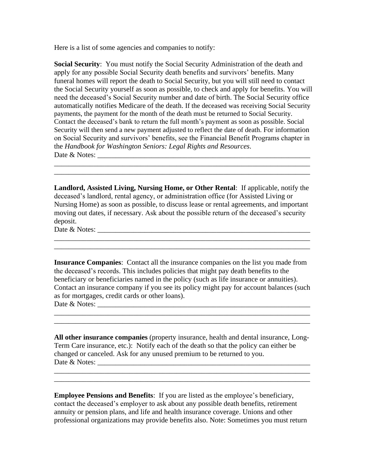Here is a list of some agencies and companies to notify:

**Social Security**: You must notify the Social Security Administration of the death and apply for any possible Social Security death benefits and survivors' benefits. Many funeral homes will report the death to Social Security, but you will still need to contact the Social Security yourself as soon as possible, to check and apply for benefits. You will need the deceased's Social Security number and date of birth. The Social Security office automatically notifies Medicare of the death. If the deceased was receiving Social Security payments, the payment for the month of the death must be returned to Social Security. Contact the deceased's bank to return the full month's payment as soon as possible. Social Security will then send a new payment adjusted to reflect the date of death. For information on Social Security and survivors' benefits, see the Financial Benefit Programs chapter in the *Handbook for Washington Seniors: Legal Rights and Resources*. Date & Notes: \_\_\_\_\_\_\_\_\_\_\_\_\_\_\_\_\_\_\_\_\_\_\_\_\_\_\_\_\_\_\_\_\_\_\_\_\_\_\_\_\_\_\_\_\_\_\_\_\_\_\_\_\_\_\_\_\_\_\_

**Landlord, Assisted Living, Nursing Home, or Other Rental**: If applicable, notify the deceased's landlord, rental agency, or administration office (for Assisted Living or Nursing Home) as soon as possible, to discuss lease or rental agreements, and important moving out dates, if necessary. Ask about the possible return of the deceased's security deposit.

\_\_\_\_\_\_\_\_\_\_\_\_\_\_\_\_\_\_\_\_\_\_\_\_\_\_\_\_\_\_\_\_\_\_\_\_\_\_\_\_\_\_\_\_\_\_\_\_\_\_\_\_\_\_\_\_\_\_\_\_\_\_\_\_\_\_\_\_\_\_\_ \_\_\_\_\_\_\_\_\_\_\_\_\_\_\_\_\_\_\_\_\_\_\_\_\_\_\_\_\_\_\_\_\_\_\_\_\_\_\_\_\_\_\_\_\_\_\_\_\_\_\_\_\_\_\_\_\_\_\_\_\_\_\_\_\_\_\_\_\_\_\_

\_\_\_\_\_\_\_\_\_\_\_\_\_\_\_\_\_\_\_\_\_\_\_\_\_\_\_\_\_\_\_\_\_\_\_\_\_\_\_\_\_\_\_\_\_\_\_\_\_\_\_\_\_\_\_\_\_\_\_\_\_\_\_\_\_\_\_\_\_\_\_ \_\_\_\_\_\_\_\_\_\_\_\_\_\_\_\_\_\_\_\_\_\_\_\_\_\_\_\_\_\_\_\_\_\_\_\_\_\_\_\_\_\_\_\_\_\_\_\_\_\_\_\_\_\_\_\_\_\_\_\_\_\_\_\_\_\_\_\_\_\_\_

Date & Notes: \_\_\_\_\_\_\_\_\_\_\_\_\_\_\_\_\_\_\_\_\_\_\_\_\_\_\_\_\_\_\_\_\_\_\_\_\_\_\_\_\_\_\_\_\_\_\_\_\_\_\_\_\_\_\_\_\_\_\_

**Insurance Companies**: Contact all the insurance companies on the list you made from the deceased's records. This includes policies that might pay death benefits to the beneficiary or beneficiaries named in the policy (such as life insurance or annuities). Contact an insurance company if you see its policy might pay for account balances (such as for mortgages, credit cards or other loans). Date & Notes: \_\_\_\_\_\_\_\_\_\_\_\_\_\_\_\_\_\_\_\_\_\_\_\_\_\_\_\_\_\_\_\_\_\_\_\_\_\_\_\_\_\_\_\_\_\_\_\_\_\_\_\_\_\_\_\_\_\_\_

\_\_\_\_\_\_\_\_\_\_\_\_\_\_\_\_\_\_\_\_\_\_\_\_\_\_\_\_\_\_\_\_\_\_\_\_\_\_\_\_\_\_\_\_\_\_\_\_\_\_\_\_\_\_\_\_\_\_\_\_\_\_\_\_\_\_\_\_\_\_\_

**All other insurance companies** (property insurance, health and dental insurance, Long-Term Care insurance, etc.): Notify each of the death so that the policy can either be changed or canceled. Ask for any unused premium to be returned to you. Date & Notes: \_\_\_\_\_\_\_\_\_\_\_\_\_\_\_\_\_\_\_\_\_\_\_\_\_\_\_\_\_\_\_\_\_\_\_\_\_\_\_\_\_\_\_\_\_\_\_\_\_\_\_\_\_\_\_\_\_\_\_

\_\_\_\_\_\_\_\_\_\_\_\_\_\_\_\_\_\_\_\_\_\_\_\_\_\_\_\_\_\_\_\_\_\_\_\_\_\_\_\_\_\_\_\_\_\_\_\_\_\_\_\_\_\_\_\_\_\_\_\_\_\_\_\_\_\_\_\_\_\_\_ \_\_\_\_\_\_\_\_\_\_\_\_\_\_\_\_\_\_\_\_\_\_\_\_\_\_\_\_\_\_\_\_\_\_\_\_\_\_\_\_\_\_\_\_\_\_\_\_\_\_\_\_\_\_\_\_\_\_\_\_\_\_\_\_\_\_\_\_\_\_\_

\_\_\_\_\_\_\_\_\_\_\_\_\_\_\_\_\_\_\_\_\_\_\_\_\_\_\_\_\_\_\_\_\_\_\_\_\_\_\_\_\_\_\_\_\_\_\_\_\_\_\_\_\_\_\_\_\_\_\_\_\_\_\_\_\_\_\_\_\_\_\_

**Employee Pensions and Benefits**: If you are listed as the employee's beneficiary, contact the deceased's employer to ask about any possible death benefits, retirement annuity or pension plans, and life and health insurance coverage. Unions and other professional organizations may provide benefits also. Note: Sometimes you must return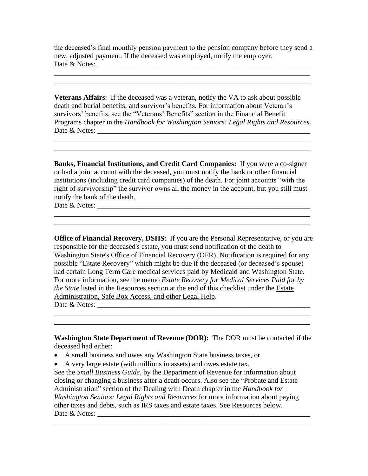the deceased's final monthly pension payment to the pension company before they send a new, adjusted payment. If the deceased was employed, notify the employer. Date & Notes: \_\_\_\_\_\_\_\_\_\_\_\_\_\_\_\_\_\_\_\_\_\_\_\_\_\_\_\_\_\_\_\_\_\_\_\_\_\_\_\_\_\_\_\_\_\_\_\_\_\_\_\_\_\_\_\_\_\_\_

\_\_\_\_\_\_\_\_\_\_\_\_\_\_\_\_\_\_\_\_\_\_\_\_\_\_\_\_\_\_\_\_\_\_\_\_\_\_\_\_\_\_\_\_\_\_\_\_\_\_\_\_\_\_\_\_\_\_\_\_\_\_\_\_\_\_\_\_\_\_\_

**Veterans Affairs**: If the deceased was a veteran, notify the VA to ask about possible death and burial benefits, and survivor's benefits. For information about Veteran's survivors' benefits, see the "Veterans' Benefits" section in the Financial Benefit Programs chapter in the *Handbook for Washington Seniors: Legal Rights and Resources*. Date & Notes: \_\_\_\_\_\_\_\_\_\_\_\_\_\_\_\_\_\_\_\_\_\_\_\_\_\_\_\_\_\_\_\_\_\_\_\_\_\_\_\_\_\_\_\_\_\_\_\_\_\_\_\_\_\_\_\_\_\_\_

 $\mathcal{L}_\mathcal{L} = \{ \mathcal{L}_\mathcal{L} = \{ \mathcal{L}_\mathcal{L} = \{ \mathcal{L}_\mathcal{L} = \{ \mathcal{L}_\mathcal{L} = \{ \mathcal{L}_\mathcal{L} = \{ \mathcal{L}_\mathcal{L} = \{ \mathcal{L}_\mathcal{L} = \{ \mathcal{L}_\mathcal{L} = \{ \mathcal{L}_\mathcal{L} = \{ \mathcal{L}_\mathcal{L} = \{ \mathcal{L}_\mathcal{L} = \{ \mathcal{L}_\mathcal{L} = \{ \mathcal{L}_\mathcal{L} = \{ \mathcal{L}_\mathcal{$ 

\_\_\_\_\_\_\_\_\_\_\_\_\_\_\_\_\_\_\_\_\_\_\_\_\_\_\_\_\_\_\_\_\_\_\_\_\_\_\_\_\_\_\_\_\_\_\_\_\_\_\_\_\_\_\_\_\_\_\_\_\_\_\_\_\_\_\_\_\_\_\_

**Banks, Financial Institutions, and Credit Card Companies:** If you were a co-signer or had a joint account with the deceased, you must notify the bank or other financial institutions (including credit card companies) of the death. For joint accounts "with the right of survivorship" the survivor owns all the money in the account, but you still must notify the bank of the death. Date & Notes: \_\_\_\_\_\_\_\_\_\_\_\_\_\_\_\_\_\_\_\_\_\_\_\_\_\_\_\_\_\_\_\_\_\_\_\_\_\_\_\_\_\_\_\_\_\_\_\_\_\_\_\_\_\_\_\_\_\_\_

**Office of Financial Recovery, DSHS**: If you are the Personal Representative, or you are responsible for the deceased's estate, you must send notification of the death to Washington State's Office of Financial Recovery (OFR). Notification is required for any possible "Estate Recovery" which might be due if the deceased (or deceased's spouse) had certain Long Term Care medical services paid by Medicaid and Washington State. For more information, see the memo *Estate Recovery for Medical Services Paid for by the State* listed in the Resources section at the end of this checklist under the Estate Administration, Safe Box Access, and other Legal Help. Date & Notes: \_\_\_\_\_\_\_\_\_\_\_\_\_\_\_\_\_\_\_\_\_\_\_\_\_\_\_\_\_\_\_\_\_\_\_\_\_\_\_\_\_\_\_\_\_\_\_\_\_\_\_\_\_\_\_\_\_\_\_

**Washington State Department of Revenue (DOR):** The DOR must be contacted if the deceased had either:

\_\_\_\_\_\_\_\_\_\_\_\_\_\_\_\_\_\_\_\_\_\_\_\_\_\_\_\_\_\_\_\_\_\_\_\_\_\_\_\_\_\_\_\_\_\_\_\_\_\_\_\_\_\_\_\_\_\_\_\_\_\_\_\_\_\_\_\_\_\_\_

\_\_\_\_\_\_\_\_\_\_\_\_\_\_\_\_\_\_\_\_\_\_\_\_\_\_\_\_\_\_\_\_\_\_\_\_\_\_\_\_\_\_\_\_\_\_\_\_\_\_\_\_\_\_\_\_\_\_\_\_\_\_\_\_\_\_\_\_\_\_\_

- A small business and owes any Washington State business taxes, or
- A very large estate (with millions in assets) and owes estate tax.

See the *Small Business Guide,* by the Department of Revenue for information about closing or changing a business after a death occurs. Also see the "Probate and Estate Administration" section of the Dealing with Death chapter in the *Handbook for Washington Seniors: Legal Rights and Resources* for more information about paying other taxes and debts, such as IRS taxes and estate taxes. See Resources below. Date & Notes: \_\_\_\_\_\_\_\_\_\_\_\_\_\_\_\_\_\_\_\_\_\_\_\_\_\_\_\_\_\_\_\_\_\_\_\_\_\_\_\_\_\_\_\_\_\_\_\_\_\_\_\_\_\_\_\_\_\_\_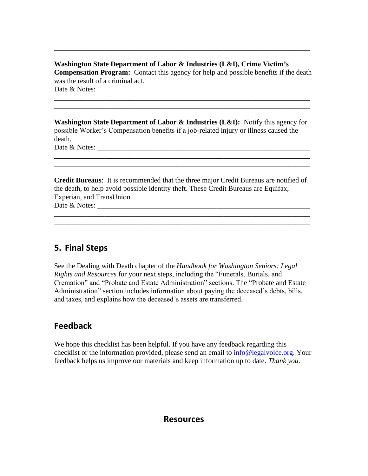**Washington State Department of Labor & Industries (L&I), Crime Victim's Compensation Program:** Contact this agency for help and possible benefits if the death was the result of a criminal act. Date  $\&$  Notes:

\_\_\_\_\_\_\_\_\_\_\_\_\_\_\_\_\_\_\_\_\_\_\_\_\_\_\_\_\_\_\_\_\_\_\_\_\_\_\_\_\_\_\_\_\_\_\_\_\_\_\_\_\_\_\_\_\_\_\_\_\_\_\_\_\_\_\_\_\_\_\_ \_\_\_\_\_\_\_\_\_\_\_\_\_\_\_\_\_\_\_\_\_\_\_\_\_\_\_\_\_\_\_\_\_\_\_\_\_\_\_\_\_\_\_\_\_\_\_\_\_\_\_\_\_\_\_\_\_\_\_\_\_\_\_\_\_\_\_\_\_\_\_

\_\_\_\_\_\_\_\_\_\_\_\_\_\_\_\_\_\_\_\_\_\_\_\_\_\_\_\_\_\_\_\_\_\_\_\_\_\_\_\_\_\_\_\_\_\_\_\_\_\_\_\_\_\_\_\_\_\_\_\_\_\_\_\_\_\_\_\_\_\_\_

**Washington State Department of Labor & Industries (L&I):** Notify this agency for possible Worker's Compensation benefits if a job-related injury or illness caused the death.

\_\_\_\_\_\_\_\_\_\_\_\_\_\_\_\_\_\_\_\_\_\_\_\_\_\_\_\_\_\_\_\_\_\_\_\_\_\_\_\_\_\_\_\_\_\_\_\_\_\_\_\_\_\_\_\_\_\_\_\_\_\_\_\_\_\_\_\_\_\_\_ \_\_\_\_\_\_\_\_\_\_\_\_\_\_\_\_\_\_\_\_\_\_\_\_\_\_\_\_\_\_\_\_\_\_\_\_\_\_\_\_\_\_\_\_\_\_\_\_\_\_\_\_\_\_\_\_\_\_\_\_\_\_\_\_\_\_\_\_\_\_\_

Date & Notes: \_\_\_\_\_\_\_\_\_\_\_\_\_\_\_\_\_\_\_\_\_\_\_\_\_\_\_\_\_\_\_\_\_\_\_\_\_\_\_\_\_\_\_\_\_\_\_\_\_\_\_\_\_\_\_\_\_\_\_

**Credit Bureaus**: It is recommended that the three major Credit Bureaus are notified of the death, to help avoid possible identity theft. These Credit Bureaus are Equifax, Experian, and TransUnion. Date & Notes: \_\_\_\_\_\_\_\_\_\_\_\_\_\_\_\_\_\_\_\_\_\_\_\_\_\_\_\_\_\_\_\_\_\_\_\_\_\_\_\_\_\_\_\_\_\_\_\_\_\_\_\_\_\_\_\_\_\_\_

\_\_\_\_\_\_\_\_\_\_\_\_\_\_\_\_\_\_\_\_\_\_\_\_\_\_\_\_\_\_\_\_\_\_\_\_\_\_\_\_\_\_\_\_\_\_\_\_\_\_\_\_\_\_\_\_\_\_\_\_\_\_\_\_\_\_\_\_\_\_\_

# **5. Final Steps**

See the Dealing with Death chapter of the *Handbook for Washington Seniors: Legal Rights and Resources* for your next steps, including the "Funerals, Burials, and Cremation" and "Probate and Estate Administration" sections. The "Probate and Estate Administration" section includes information about paying the deceased's debts, bills, and taxes, and explains how the deceased's assets are transferred.

# **Feedback**

We hope this checklist has been helpful. If you have any feedback regarding this checklist or the information provided, please send an email to [info@legalvoice.org.](mailto:info@legalvoice.org) Your feedback helps us improve our materials and keep information up to date. *Thank you*.

# **Resources**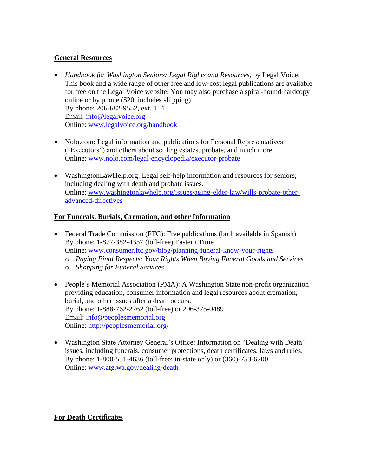### **General Resources**

- *Handbook for Washington Seniors: Legal Rights and Resources*, by Legal Voice: This book and a wide range of other free and low-cost legal publications are available for free on the Legal Voice website. You may also purchase a spiral-bound hardcopy online or by phone (\$20, includes shipping). By phone: 206-682-9552, ext. 114 Email: [info@legalvoice.org](mailto:info@legalvoice.org) Online: [www.legalvoice.org/handbook](http://www.legalvoice.org/handbook)
- Nolo.com: Legal information and publications for Personal Representatives ("Executors") and others about settling estates, probate, and much more. Online: [www.nolo.com/legal-encyclopedia/executor-probate](http://www.nolo.com/legal-encyclopedia/executor-probate)
- WashingtonLawHelp.org: Legal self-help information and resources for seniors, including dealing with death and probate issues. Online: [www.washingtonlawhelp.org/issues/aging-elder-law/wills-probate-other](http://www.washingtonlawhelp.org/issues/aging-elder-law/wills-probate-other-advanced-directives)[advanced-directives](http://www.washingtonlawhelp.org/issues/aging-elder-law/wills-probate-other-advanced-directives)

## **For Funerals, Burials, Cremation, and other Information**

- Federal Trade Commission (FTC): Free publications (both available in Spanish) By phone: 1-877-382-4357 (toll-free) Eastern Time Online: [www.consumer.ftc.gov/blog/planning-funeral-know-your-rights](http://www.consumer.ftc.gov/blog/planning-funeral-know-your-rights) 
	- o *Paying Final Respects: Your Rights When Buying Funeral Goods and Services*
	- o *Shopping for Funeral Services*
- People's Memorial Association (PMA): A Washington State non-profit organization providing education, consumer information and legal resources about cremation, burial, and other issues after a death occurs. By phone: 1-888-762-2762 (toll-free) or 206-325-0489 Email: [info@peoplesmemorial.org](mailto:info@peoplesmemorial.org) Online:<http://peoplesmemorial.org/>
- Washington State Attorney General's Office: Information on "Dealing with Death" issues, including funerals, consumer protections, death certificates, laws and rules. By phone: 1-800-551-4636 (toll-free; in-state only) or (360)-753-6200 Online: [www.atg.wa.gov/dealing-death](http://www.atg.wa.gov/dealing-death)

### **For Death Certificates**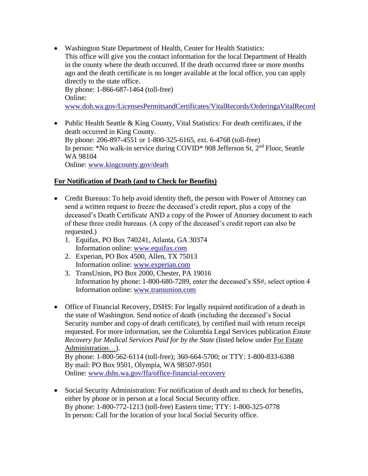• Washington State Department of Health, Center for Health Statistics: This office will give you the contact information for the local Department of Health in the county where the death occurred. If the death occurred three or more months ago and the death certificate is no longer available at the local office, you can apply directly to the state office. By phone: 1-866-687-1464 (toll-free) Online:

[www.doh.wa.gov/LicensesPermitsandCertificates/VitalRecords/OrderingaVitalRecord](http://www.doh.wa.gov/LicensesPermitsandCertificates/VitalRecords/OrderingaVitalRecord)

• Public Health Seattle & King County, Vital Statistics: For death certificates, if the death occurred in King County. By phone: 206-897-4551 or 1-800-325-6165, ext. 6-4768 (toll-free) In person: \*No walk-in service during COVID\* 908 Jefferson St, 2nd Floor, Seattle WA 98104 Online: [www.kingcounty.gov/death](https://kingcounty.gov/depts/health/vital-statistics/death.aspx)

### **For Notification of Death (and to Check for Benefits)**

- Credit Bureaus: To help avoid identity theft, the person with Power of Attorney can send a written request to freeze the deceased's credit report, plus a copy of the deceased's Death Certificate AND a copy of the Power of Attorney document to each of these three credit bureaus. (A copy of the deceased's credit report can also be requested.)
	- 1. Equifax, PO Box 740241, Atlanta, GA 30374 Information online: [www.equifax.com](http://www.equifax.com/)
	- 2. Experian, PO Box 4500, Allen, TX 75013 Information online: [www.experian.com](http://www.experian.com/)
	- 3. TransUnion, PO Box 2000, Chester, PA 19016 Information by phone: 1-800-680-7289, enter the deceased's SS#, select option 4 Information online: [www.transunion.com](http://www.transunion.com/)
- Office of Financial Recovery, DSHS: For legally required notification of a death in the state of Washington. Send notice of death (including the deceased's Social Security number and copy of death certificate), by certified mail with return receipt requested. For more information, see the Columbia Legal Services publication *Estate Recovery for Medical Services Paid for by the State* (listed below under For Estate Administration…).

By phone: 1-800-562-6114 (toll-free); 360-664-5700; or TTY: 1-800-833-6388 By mail: PO Box 9501, Olympia, WA 98507-9501 Online: [www.dshs.wa.gov/ffa/office-financial-recovery](http://www.dshs.wa.gov/ffa/office-financial-recovery)

• Social Security Administration: For notification of death and to check for benefits, either by phone or in person at a local Social Security office. By phone: 1-800-772-1213 (toll-free) Eastern time; TTY: 1-800-325-0778 In person: Call for the location of your local Social Security office.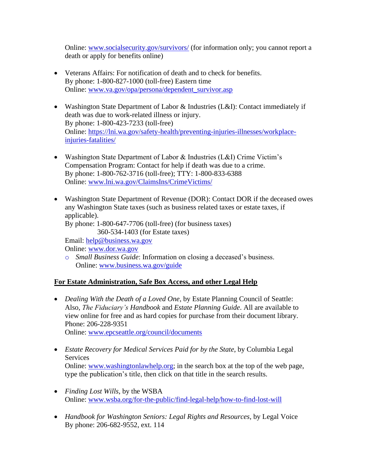Online: [www.socialsecurity.gov/survivors/](http://www.socialsecurity.gov/survivors/) (for information only; you cannot report a death or apply for benefits online)

- Veterans Affairs: For notification of death and to check for benefits. By phone: 1-800-827-1000 (toll-free) Eastern time Online: [www.va.gov/opa/persona/dependent\\_survivor.asp](http://www.va.gov/opa/persona/dependent_survivor.asp)
- Washington State Department of Labor & Industries (L&I): Contact immediately if death was due to work-related illness or injury. By phone: 1-800-423-7233 (toll-free) Online: [https://lni.wa.gov/safety-health/preventing-injuries-illnesses/workplace](https://lni.wa.gov/safety-health/preventing-injuries-illnesses/workplace-injuries-fatalities/)[injuries-fatalities/](https://lni.wa.gov/safety-health/preventing-injuries-illnesses/workplace-injuries-fatalities/)
- Washington State Department of Labor & Industries (L&I) Crime Victim's Compensation Program: Contact for help if death was due to a crime. By phone: 1-800-762-3716 (toll-free); TTY: 1-800-833-6388 Online: [www.lni.wa.gov/ClaimsIns/CrimeVictims/](http://www.lni.wa.gov/ClaimsIns/CrimeVictims/)
- Washington State Department of Revenue (DOR): Contact DOR if the deceased owes any Washington State taxes (such as business related taxes or estate taxes, if applicable). By phone: 1-800-647-7706 (toll-free) (for business taxes) 360-534-1403 (for Estate taxes) Email: [help@business.wa.gov](mailto:help@business.wa.gov)

Online: [www.dor.wa.gov](http://www.dor.wa.gov/)

o *Small Business Guide*: Information on closing a deceased's business. Online: [www.business.wa.gov/guide](http://www.business.wa.gov/guide)

### **For Estate Administration, Safe Box Access, and other Legal Help**

- *Dealing With the Death of a Loved One*, by Estate Planning Council of Seattle: Also, *The Fiduciary's Handbook* and *Estate Planning Guide*. All are available to view online for free and as hard copies for purchase from their document library. Phone: 206-228-9351 Online: [www.epcseattle.org/council/documents](http://www.epcseattle.org/council/documents)
- *Estate Recovery for Medical Services Paid for by the State*, by Columbia Legal Services Online: [www.washingtonlawhelp.org;](http://www.washingtonlawhelp.org/) in the search box at the top of the web page, type the publication's title, then click on that title in the search results.
- *Finding Lost Wills*, by the WSBA Online: [www.wsba.org/for-the-public/find-legal-help/how-to-find-lost-will](http://www.wsba.org/for-the-public/find-legal-help/how-to-find-lost-will)
- *Handbook for Washington Seniors: Legal Rights and Resources*, by Legal Voice By phone: 206-682-9552, ext. 114